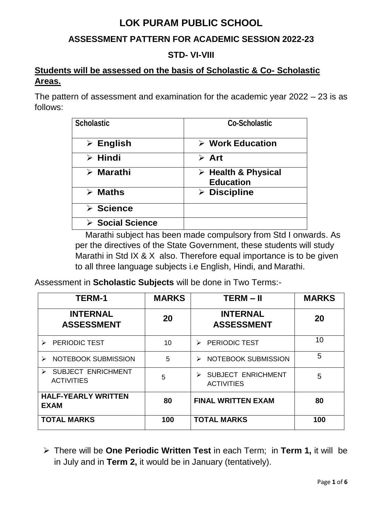# **LOK PURAM PUBLIC SCHOOL**

# **ASSESSMENT PATTERN FOR ACADEMIC SESSION 2022-23**

### **STD- VI-VIII**

## **Students will be assessed on the basis of Scholastic & Co- Scholastic Areas.**

The pattern of assessment and examination for the academic year 2022 – 23 is as follows:

| <b>Scholastic</b>        | <b>Co-Scholastic</b>                                   |
|--------------------------|--------------------------------------------------------|
| $\triangleright$ English | $\triangleright$ Work Education                        |
| $\triangleright$ Hindi   | $\triangleright$ Art                                   |
| $\triangleright$ Marathi | $\triangleright$ Health & Physical<br><b>Education</b> |
| $\triangleright$ Maths   | $\triangleright$ Discipline                            |
| $\triangleright$ Science |                                                        |
| <b>≻ Social Science</b>  |                                                        |

Marathi subject has been made compulsory from Std I onwards. As per the directives of the State Government, these students will study Marathi in Std IX & X also. Therefore equal importance is to be given to all three language subjects i.e English, Hindi, and Marathi.

Assessment in **Scholastic Subjects** will be done in Two Terms:-

| <b>TERM-1</b>                                                           | <b>MARKS</b> | $TERM - II$                                    | <b>MARKS</b> |
|-------------------------------------------------------------------------|--------------|------------------------------------------------|--------------|
| <b>INTERNAL</b><br><b>ASSESSMENT</b>                                    | 20           | <b>INTERNAL</b><br><b>ASSESSMENT</b>           | 20           |
| <b>PERIODIC TEST</b>                                                    | 10           | <b>PERIODIC TEST</b><br>$\blacktriangleright$  | 10           |
| NOTEBOOK SUBMISSION<br>➤                                                | 5            | NOTEBOOK SUBMISSION<br>➤                       | 5            |
| <b>SUBJECT ENRICHMENT</b><br>$\blacktriangleright$<br><b>ACTIVITIES</b> | 5            | <b>SUBJECT ENRICHMENT</b><br><b>ACTIVITIES</b> | 5            |
| <b>HALF-YEARLY WRITTEN</b><br><b>EXAM</b>                               | 80           | <b>FINAL WRITTEN EXAM</b>                      | 80           |
| <b>TOTAL MARKS</b>                                                      | 100          | <b>TOTAL MARKS</b>                             | 100          |

 There will be **One Periodic Written Test** in each Term; in **Term 1,** it will be in July and in **Term 2,** it would be in January (tentatively).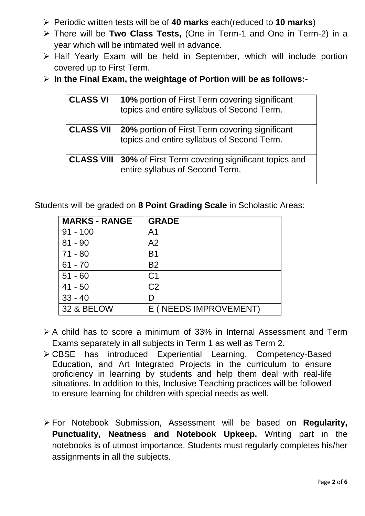- Periodic written tests will be of **40 marks** each(reduced to **10 marks**)
- There will be **Two Class Tests,** (One in Term-1 and One in Term-2) in a year which will be intimated well in advance.
- $\triangleright$  Half Yearly Exam will be held in September, which will include portion covered up to First Term.
- **In the Final Exam, the weightage of Portion will be as follows:-**

| <b>CLASS VI</b>   | 10% portion of First Term covering significant<br>topics and entire syllabus of Second Term. |
|-------------------|----------------------------------------------------------------------------------------------|
| <b>CLASS VII</b>  | 20% portion of First Term covering significant<br>topics and entire syllabus of Second Term. |
| <b>CLASS VIII</b> | 30% of First Term covering significant topics and<br>entire syllabus of Second Term.         |

Students will be graded on **8 Point Grading Scale** in Scholastic Areas:

| <b>MARKS - RANGE</b>  | <b>GRADE</b>          |
|-----------------------|-----------------------|
| $91 - 100$            | A <sub>1</sub>        |
| $81 - 90$             | A <sub>2</sub>        |
| $71 - 80$             | <b>B1</b>             |
| $61 - 70$             | <b>B2</b>             |
| $51 - 60$             | C <sub>1</sub>        |
| $41 - 50$             | C <sub>2</sub>        |
| $33 - 40$             |                       |
| <b>32 &amp; BELOW</b> | E (NEEDS IMPROVEMENT) |

- $\geq$  A child has to score a minimum of 33% in Internal Assessment and Term Exams separately in all subjects in Term 1 as well as Term 2.
- CBSE has introduced Experiential Learning, Competency-Based Education, and Art Integrated Projects in the curriculum to ensure proficiency in learning by students and help them deal with real-life situations. In addition to this, Inclusive Teaching practices will be followed to ensure learning for children with special needs as well.
- For Notebook Submission, Assessment will be based on **Regularity, Punctuality, Neatness and Notebook Upkeep.** Writing part in the notebooks is of utmost importance. Students must regularly completes his/her assignments in all the subjects.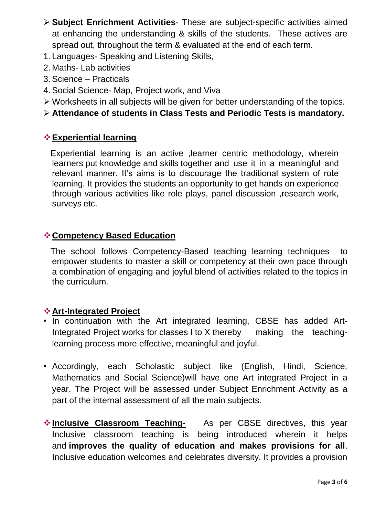- **Subject Enrichment Activities** These are subject-specific activities aimed at enhancing the understanding & skills of the students. These actives are spread out, throughout the term & evaluated at the end of each term.
- 1. Languages- Speaking and Listening Skills,
- 2. Maths- Lab activities
- 3. Science Practicals
- 4. Social Science- Map, Project work, and Viva
- Worksheets in all subjects will be given for better understanding of the topics.
- **Attendance of students in Class Tests and Periodic Tests is mandatory.**

### **Experiential learning**

 Experiential learning is an active ,learner centric methodology, wherein learners put knowledge and skills together and use it in a meaningful and relevant manner. It's aims is to discourage the traditional system of rote learning. It provides the students an opportunity to get hands on experience through various activities like role plays, panel discussion ,research work, surveys etc.

# **Competency Based Education**

 The school follows Competency-Based teaching learning techniques to empower students to master a skill or competency at their own pace through a combination of engaging and joyful blend of activities related to the topics in the curriculum.

### **Art-Integrated Project**

- In continuation with the Art integrated learning, CBSE has added Art-Integrated Project works for classes I to X thereby making the teachinglearning process more effective, meaningful and joyful.
- Accordingly, each Scholastic subject like (English, Hindi, Science, Mathematics and Social Science)will have one Art integrated Project in a year. The Project will be assessed under Subject Enrichment Activity as a part of the internal assessment of all the main subjects.
- **Inclusive Classroom Teaching-** As per CBSE directives, this year Inclusive classroom teaching is being introduced wherein it helps and **improves the quality of education and makes provisions for all**. Inclusive education welcomes and celebrates diversity. It provides a provision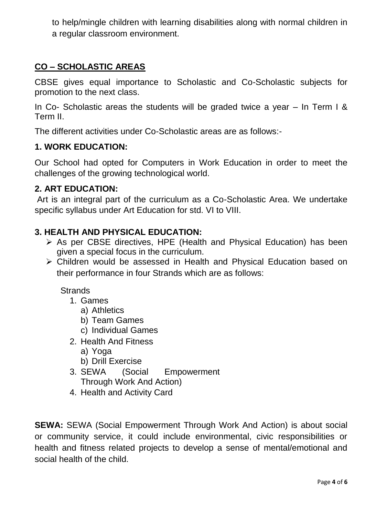to help/mingle children with learning disabilities along with normal children in a regular classroom environment.

# **CO – SCHOLASTIC AREAS**

CBSE gives equal importance to Scholastic and Co-Scholastic subjects for promotion to the next class.

In Co- Scholastic areas the students will be graded twice a year – In Term I & Term II.

The different activities under Co-Scholastic areas are as follows:-

#### **1. WORK EDUCATION:**

Our School had opted for Computers in Work Education in order to meet the challenges of the growing technological world.

#### **2. ART EDUCATION:**

Art is an integral part of the curriculum as a Co-Scholastic Area. We undertake specific syllabus under Art Education for std. VI to VIII.

#### **3. HEALTH AND PHYSICAL EDUCATION:**

- As per CBSE directives, HPE (Health and Physical Education) has been given a special focus in the curriculum.
- Children would be assessed in Health and Physical Education based on their performance in four Strands which are as follows:

**Strands** 

- 1. Games
	- a) Athletics
	- b) Team Games
	- c) Individual Games
- 2. Health And Fitness
	- a) Yoga
	- b) Drill Exercise
- 3. SEWA (Social Empowerment Through Work And Action)
- 4. Health and Activity Card

**SEWA:** SEWA (Social Empowerment Through Work And Action) is about social or community service, it could include environmental, civic responsibilities or health and fitness related projects to develop a sense of mental/emotional and social health of the child.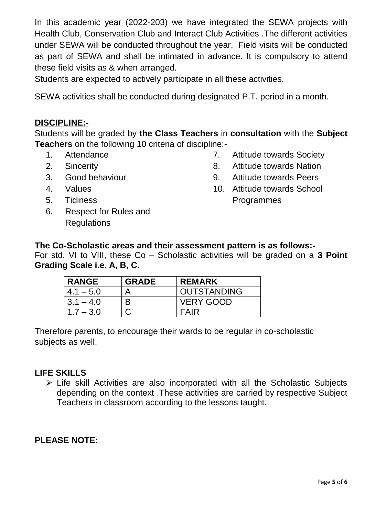In this academic year (2022-203) we have integrated the SEWA projects with Health Club, Conservation Club and Interact Club Activities .The different activities under SEWA will be conducted throughout the year. Field visits will be conducted as part of SEWA and shall be intimated in advance. It is compulsory to attend these field visits as & when arranged.

Students are expected to actively participate in all these activities.

SEWA activities shall be conducted during designated P.T. period in a month.

### **DISCIPLINE:-**

Students will be graded by **the Class Teachers** in **consultation** with the **Subject Teachers** on the following 10 criteria of discipline:-

- 1. Attendance
- 2. Sincerity
- 3. Good behaviour
- 4. Values
- 5. Tidiness
- 6. Respect for Rules and **Regulations**
- 7. Attitude towards Society
- 8. Attitude towards Nation
- 9. Attitude towards Peers
- 10. Attitude towards School Programmes

#### **The Co-Scholastic areas and their assessment pattern is as follows:-**

For std. VI to VIII, these Co – Scholastic activities will be graded on a **3 Point Grading Scale i.e. A, B, C.**

| <b>RANGE</b> | <b>GRADE</b> | <b>REMARK</b>      |
|--------------|--------------|--------------------|
| $4.1 - 5.0$  | Д            | <b>OUTSTANDING</b> |
| $3.1 - 4.0$  | B            | <b>VERY GOOD</b>   |
| $17 - 30$    |              | FAIR               |

Therefore parents, to encourage their wards to be regular in co-scholastic subjects as well.

#### **LIFE SKILLS**

 Life skill Activities are also incorporated with all the Scholastic Subjects depending on the context .These activities are carried by respective Subject Teachers in classroom according to the lessons taught.

### **PLEASE NOTE:**